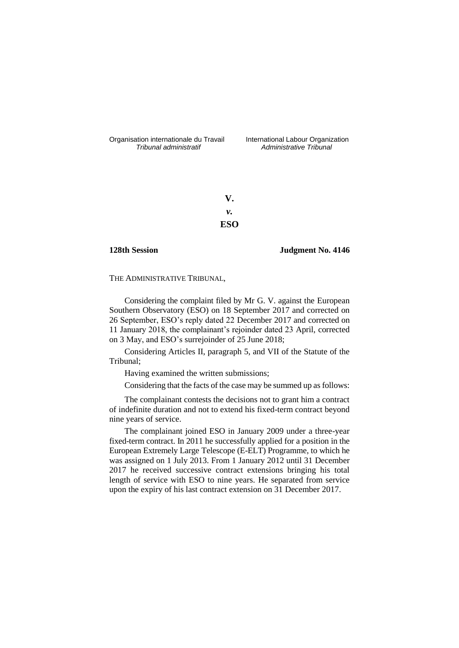Organisation internationale du Travail International Labour Organization<br>*Tribunal administratif Administrative Tribunal* 

*Tribunal administratif Administrative Tribunal*

**V.** *v.* **ESO**

**128th Session Judgment No. 4146**

THE ADMINISTRATIVE TRIBUNAL,

Considering the complaint filed by Mr G. V. against the European Southern Observatory (ESO) on 18 September 2017 and corrected on 26 September, ESO's reply dated 22 December 2017 and corrected on 11 January 2018, the complainant's rejoinder dated 23 April, corrected on 3 May, and ESO's surrejoinder of 25 June 2018;

Considering Articles II, paragraph 5, and VII of the Statute of the Tribunal;

Having examined the written submissions;

Considering that the facts of the case may be summed up as follows:

The complainant contests the decisions not to grant him a contract of indefinite duration and not to extend his fixed-term contract beyond nine years of service.

The complainant joined ESO in January 2009 under a three-year fixed-term contract. In 2011 he successfully applied for a position in the European Extremely Large Telescope (E-ELT) Programme, to which he was assigned on 1 July 2013. From 1 January 2012 until 31 December 2017 he received successive contract extensions bringing his total length of service with ESO to nine years. He separated from service upon the expiry of his last contract extension on 31 December 2017.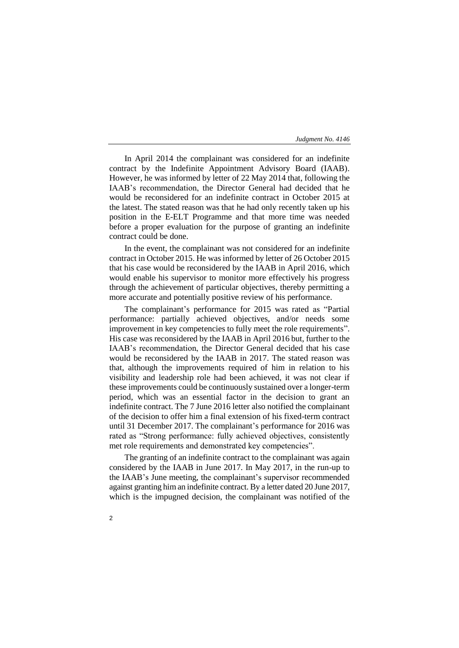In April 2014 the complainant was considered for an indefinite contract by the Indefinite Appointment Advisory Board (IAAB). However, he was informed by letter of 22 May 2014 that, following the IAAB's recommendation, the Director General had decided that he would be reconsidered for an indefinite contract in October 2015 at the latest. The stated reason was that he had only recently taken up his position in the E-ELT Programme and that more time was needed before a proper evaluation for the purpose of granting an indefinite contract could be done.

In the event, the complainant was not considered for an indefinite contract in October 2015. He was informed by letter of 26 October 2015 that his case would be reconsidered by the IAAB in April 2016, which would enable his supervisor to monitor more effectively his progress through the achievement of particular objectives, thereby permitting a more accurate and potentially positive review of his performance.

The complainant's performance for 2015 was rated as "Partial performance: partially achieved objectives, and/or needs some improvement in key competencies to fully meet the role requirements". His case was reconsidered by the IAAB in April 2016 but, further to the IAAB's recommendation, the Director General decided that his case would be reconsidered by the IAAB in 2017. The stated reason was that, although the improvements required of him in relation to his visibility and leadership role had been achieved, it was not clear if these improvements could be continuously sustained over a longer-term period, which was an essential factor in the decision to grant an indefinite contract. The 7 June 2016 letter also notified the complainant of the decision to offer him a final extension of his fixed-term contract until 31 December 2017. The complainant's performance for 2016 was rated as "Strong performance: fully achieved objectives, consistently met role requirements and demonstrated key competencies".

The granting of an indefinite contract to the complainant was again considered by the IAAB in June 2017. In May 2017, in the run-up to the IAAB's June meeting, the complainant's supervisor recommended against granting him an indefinite contract. By a letter dated 20 June 2017, which is the impugned decision, the complainant was notified of the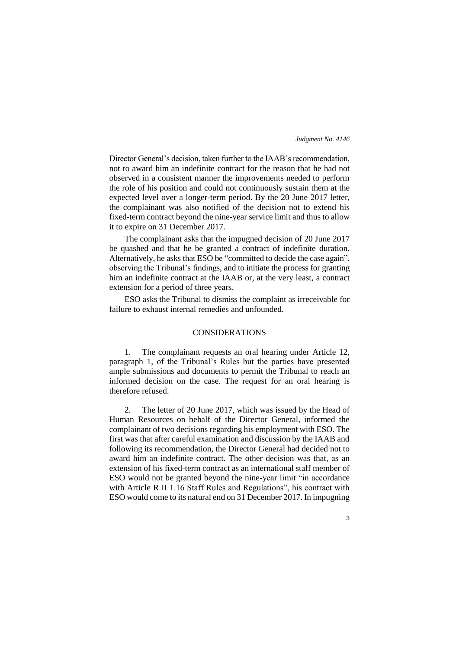Director General's decision, taken further to the IAAB's recommendation, not to award him an indefinite contract for the reason that he had not observed in a consistent manner the improvements needed to perform the role of his position and could not continuously sustain them at the expected level over a longer-term period. By the 20 June 2017 letter, the complainant was also notified of the decision not to extend his fixed-term contract beyond the nine-year service limit and thus to allow it to expire on 31 December 2017.

The complainant asks that the impugned decision of 20 June 2017 be quashed and that he be granted a contract of indefinite duration. Alternatively, he asks that ESO be "committed to decide the case again", observing the Tribunal's findings, and to initiate the process for granting him an indefinite contract at the IAAB or, at the very least, a contract extension for a period of three years.

ESO asks the Tribunal to dismiss the complaint as irreceivable for failure to exhaust internal remedies and unfounded.

# CONSIDERATIONS

1. The complainant requests an oral hearing under Article 12, paragraph 1, of the Tribunal's Rules but the parties have presented ample submissions and documents to permit the Tribunal to reach an informed decision on the case. The request for an oral hearing is therefore refused.

2. The letter of 20 June 2017, which was issued by the Head of Human Resources on behalf of the Director General, informed the complainant of two decisions regarding his employment with ESO. The first was that after careful examination and discussion by the IAAB and following its recommendation, the Director General had decided not to award him an indefinite contract. The other decision was that, as an extension of his fixed-term contract as an international staff member of ESO would not be granted beyond the nine-year limit "in accordance with Article R II 1.16 Staff Rules and Regulations", his contract with ESO would come to its natural end on 31 December 2017. In impugning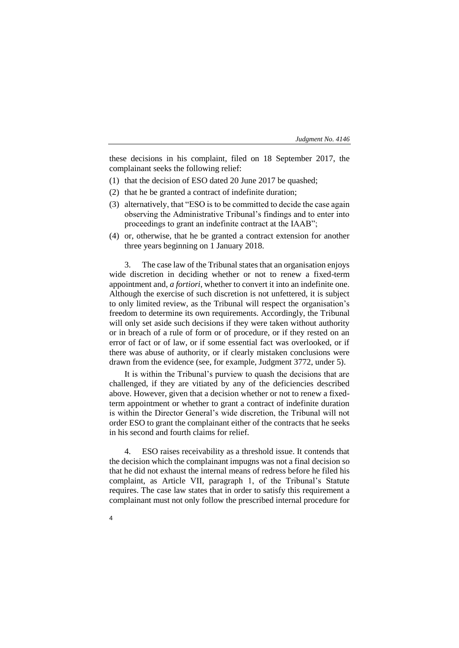these decisions in his complaint, filed on 18 September 2017, the complainant seeks the following relief:

- (1) that the decision of ESO dated 20 June 2017 be quashed;
- (2) that he be granted a contract of indefinite duration;
- (3) alternatively, that "ESO is to be committed to decide the case again observing the Administrative Tribunal's findings and to enter into proceedings to grant an indefinite contract at the IAAB";
- (4) or, otherwise, that he be granted a contract extension for another three years beginning on 1 January 2018.

3. The case law of the Tribunal states that an organisation enjoys wide discretion in deciding whether or not to renew a fixed-term appointment and, *a fortiori*, whether to convert it into an indefinite one. Although the exercise of such discretion is not unfettered, it is subject to only limited review, as the Tribunal will respect the organisation's freedom to determine its own requirements. Accordingly, the Tribunal will only set aside such decisions if they were taken without authority or in breach of a rule of form or of procedure, or if they rested on an error of fact or of law, or if some essential fact was overlooked, or if there was abuse of authority, or if clearly mistaken conclusions were drawn from the evidence (see, for example, Judgment 3772, under 5).

It is within the Tribunal's purview to quash the decisions that are challenged, if they are vitiated by any of the deficiencies described above. However, given that a decision whether or not to renew a fixedterm appointment or whether to grant a contract of indefinite duration is within the Director General's wide discretion, the Tribunal will not order ESO to grant the complainant either of the contracts that he seeks in his second and fourth claims for relief.

4. ESO raises receivability as a threshold issue. It contends that the decision which the complainant impugns was not a final decision so that he did not exhaust the internal means of redress before he filed his complaint, as Article VII, paragraph 1, of the Tribunal's Statute requires. The case law states that in order to satisfy this requirement a complainant must not only follow the prescribed internal procedure for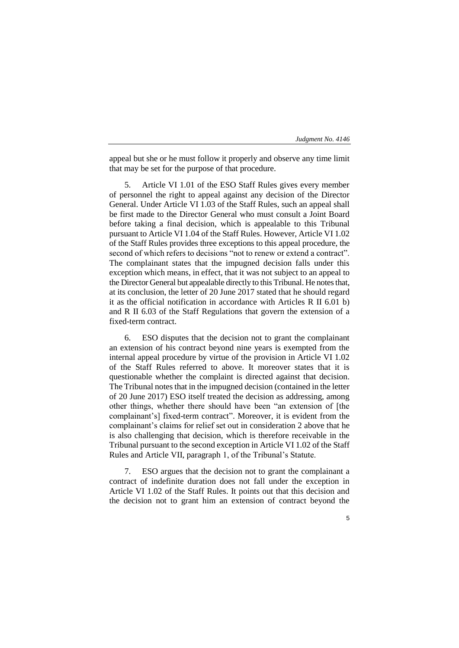appeal but she or he must follow it properly and observe any time limit that may be set for the purpose of that procedure.

5. Article VI 1.01 of the ESO Staff Rules gives every member of personnel the right to appeal against any decision of the Director General. Under Article VI 1.03 of the Staff Rules, such an appeal shall be first made to the Director General who must consult a Joint Board before taking a final decision, which is appealable to this Tribunal pursuant to Article VI 1.04 of the Staff Rules. However, Article VI 1.02 of the Staff Rules provides three exceptions to this appeal procedure, the second of which refers to decisions "not to renew or extend a contract". The complainant states that the impugned decision falls under this exception which means, in effect, that it was not subject to an appeal to the Director General but appealable directly to this Tribunal. He notes that, at its conclusion, the letter of 20 June 2017 stated that he should regard it as the official notification in accordance with Articles R II 6.01 b) and R II 6.03 of the Staff Regulations that govern the extension of a fixed-term contract.

6. ESO disputes that the decision not to grant the complainant an extension of his contract beyond nine years is exempted from the internal appeal procedure by virtue of the provision in Article VI 1.02 of the Staff Rules referred to above. It moreover states that it is questionable whether the complaint is directed against that decision. The Tribunal notes that in the impugned decision (contained in the letter of 20 June 2017) ESO itself treated the decision as addressing, among other things, whether there should have been "an extension of [the complainant's] fixed-term contract". Moreover, it is evident from the complainant's claims for relief set out in consideration 2 above that he is also challenging that decision, which is therefore receivable in the Tribunal pursuant to the second exception in Article VI 1.02 of the Staff Rules and Article VII, paragraph 1, of the Tribunal's Statute.

7. ESO argues that the decision not to grant the complainant a contract of indefinite duration does not fall under the exception in Article VI 1.02 of the Staff Rules. It points out that this decision and the decision not to grant him an extension of contract beyond the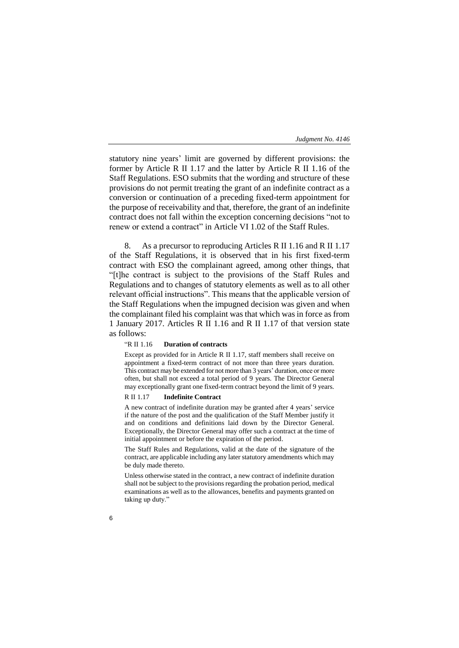statutory nine years' limit are governed by different provisions: the former by Article R II 1.17 and the latter by Article R II 1.16 of the Staff Regulations. ESO submits that the wording and structure of these provisions do not permit treating the grant of an indefinite contract as a conversion or continuation of a preceding fixed-term appointment for the purpose of receivability and that, therefore, the grant of an indefinite contract does not fall within the exception concerning decisions "not to renew or extend a contract" in Article VI 1.02 of the Staff Rules.

8. As a precursor to reproducing Articles R II 1.16 and R II 1.17 of the Staff Regulations, it is observed that in his first fixed-term contract with ESO the complainant agreed, among other things, that "[t]he contract is subject to the provisions of the Staff Rules and Regulations and to changes of statutory elements as well as to all other relevant official instructions". This means that the applicable version of the Staff Regulations when the impugned decision was given and when the complainant filed his complaint was that which was in force as from 1 January 2017. Articles R II 1.16 and R II 1.17 of that version state as follows:

## "R II 1.16 **Duration of contracts**

Except as provided for in Article R II 1.17, staff members shall receive on appointment a fixed-term contract of not more than three years duration. This contract may be extended for not more than 3 years' duration, once or more often, but shall not exceed a total period of 9 years. The Director General may exceptionally grant one fixed-term contract beyond the limit of 9 years.

#### R II 1.17 **Indefinite Contract**

6

A new contract of indefinite duration may be granted after 4 years' service if the nature of the post and the qualification of the Staff Member justify it and on conditions and definitions laid down by the Director General. Exceptionally, the Director General may offer such a contract at the time of initial appointment or before the expiration of the period.

The Staff Rules and Regulations, valid at the date of the signature of the contract, are applicable including any later statutory amendments which may be duly made thereto.

Unless otherwise stated in the contract, a new contract of indefinite duration shall not be subject to the provisions regarding the probation period, medical examinations as well as to the allowances, benefits and payments granted on taking up duty."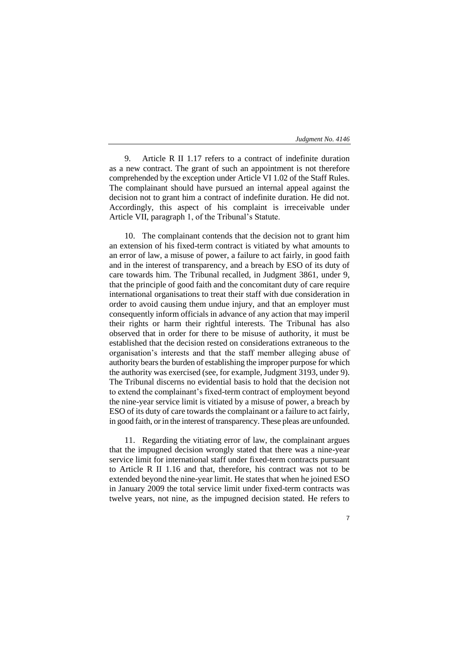9. Article R II 1.17 refers to a contract of indefinite duration as a new contract. The grant of such an appointment is not therefore comprehended by the exception under Article VI 1.02 of the Staff Rules. The complainant should have pursued an internal appeal against the decision not to grant him a contract of indefinite duration. He did not. Accordingly, this aspect of his complaint is irreceivable under Article VII, paragraph 1, of the Tribunal's Statute.

10. The complainant contends that the decision not to grant him an extension of his fixed-term contract is vitiated by what amounts to an error of law, a misuse of power, a failure to act fairly, in good faith and in the interest of transparency, and a breach by ESO of its duty of care towards him. The Tribunal recalled, in Judgment 3861, under 9, that the principle of good faith and the concomitant duty of care require international organisations to treat their staff with due consideration in order to avoid causing them undue injury, and that an employer must consequently inform officials in advance of any action that may imperil their rights or harm their rightful interests. The Tribunal has also observed that in order for there to be misuse of authority, it must be established that the decision rested on considerations extraneous to the organisation's interests and that the staff member alleging abuse of authority bears the burden of establishing the improper purpose for which the authority was exercised (see, for example, Judgment 3193, under 9). The Tribunal discerns no evidential basis to hold that the decision not to extend the complainant's fixed-term contract of employment beyond the nine-year service limit is vitiated by a misuse of power, a breach by ESO of its duty of care towards the complainant or a failure to act fairly, in good faith, or in the interest of transparency. These pleas are unfounded.

11. Regarding the vitiating error of law, the complainant argues that the impugned decision wrongly stated that there was a nine-year service limit for international staff under fixed-term contracts pursuant to Article R II 1.16 and that, therefore, his contract was not to be extended beyond the nine-year limit. He states that when he joined ESO in January 2009 the total service limit under fixed-term contracts was twelve years, not nine, as the impugned decision stated. He refers to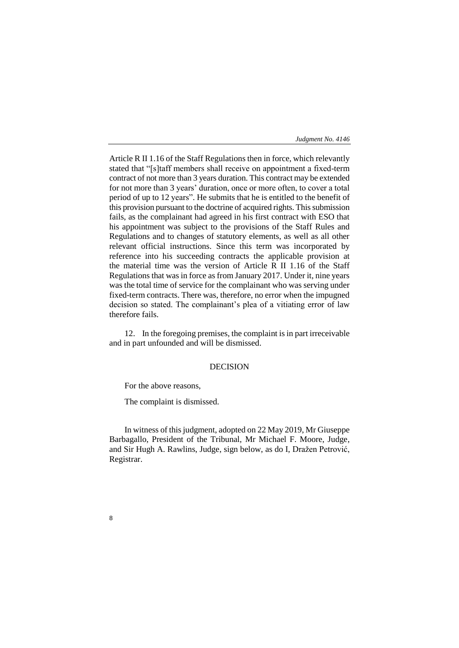Article R II 1.16 of the Staff Regulations then in force, which relevantly stated that "[s]taff members shall receive on appointment a fixed-term contract of not more than 3 years duration. This contract may be extended for not more than 3 years' duration, once or more often, to cover a total period of up to 12 years". He submits that he is entitled to the benefit of this provision pursuant to the doctrine of acquired rights. This submission fails, as the complainant had agreed in his first contract with ESO that his appointment was subject to the provisions of the Staff Rules and Regulations and to changes of statutory elements, as well as all other relevant official instructions. Since this term was incorporated by reference into his succeeding contracts the applicable provision at the material time was the version of Article R II 1.16 of the Staff Regulations that was in force as from January 2017. Under it, nine years was the total time of service for the complainant who was serving under fixed-term contracts. There was, therefore, no error when the impugned decision so stated. The complainant's plea of a vitiating error of law therefore fails.

12. In the foregoing premises, the complaint is in part irreceivable and in part unfounded and will be dismissed.

# DECISION

For the above reasons,

The complaint is dismissed.

In witness of this judgment, adopted on 22 May 2019, Mr Giuseppe Barbagallo, President of the Tribunal, Mr Michael F. Moore, Judge, and Sir Hugh A. Rawlins, Judge, sign below, as do I, Dražen Petrović, Registrar.